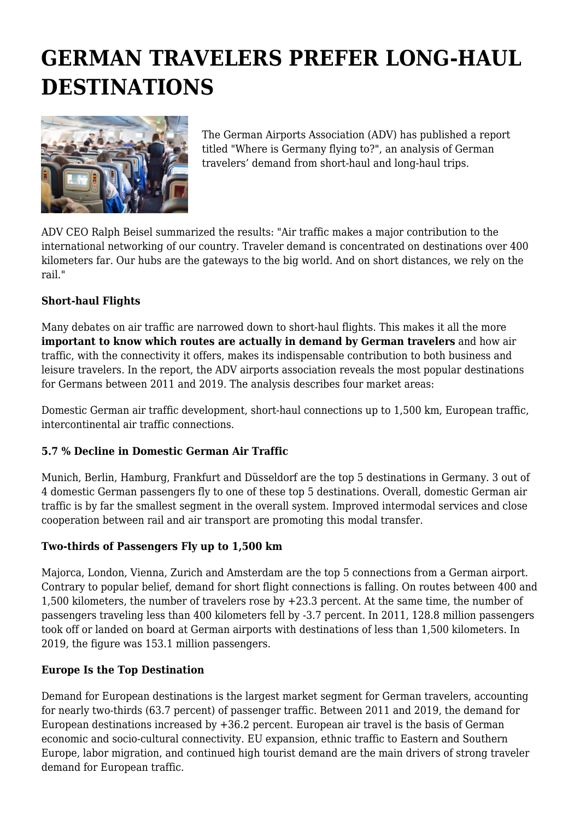# **GERMAN TRAVELERS PREFER LONG-HAUL DESTINATIONS**



The German Airports Association (ADV) has published a report titled "Where is Germany flying to?", an analysis of German travelers' demand from short-haul and long-haul trips.

ADV CEO Ralph Beisel summarized the results: "Air traffic makes a major contribution to the international networking of our country. Traveler demand is concentrated on destinations over 400 kilometers far. Our hubs are the gateways to the big world. And on short distances, we rely on the rail."

## **Short-haul Flights**

Many debates on air traffic are narrowed down to short-haul flights. This makes it all the more **important to know which routes are actually in demand by German travelers** and how air traffic, with the connectivity it offers, makes its indispensable contribution to both business and leisure travelers. In the report, the ADV airports association reveals the most popular destinations for Germans between 2011 and 2019. The analysis describes four market areas:

Domestic German air traffic development, short-haul connections up to 1,500 km, European traffic, intercontinental air traffic connections.

### **5.7 % Decline in Domestic German Air Traffic**

Munich, Berlin, Hamburg, Frankfurt and Düsseldorf are the top 5 destinations in Germany. 3 out of 4 domestic German passengers fly to one of these top 5 destinations. Overall, domestic German air traffic is by far the smallest segment in the overall system. Improved intermodal services and close cooperation between rail and air transport are promoting this modal transfer.

### **Two-thirds of Passengers Fly up to 1,500 km**

Majorca, London, Vienna, Zurich and Amsterdam are the top 5 connections from a German airport. Contrary to popular belief, demand for short flight connections is falling. On routes between 400 and 1,500 kilometers, the number of travelers rose by +23.3 percent. At the same time, the number of passengers traveling less than 400 kilometers fell by -3.7 percent. In 2011, 128.8 million passengers took off or landed on board at German airports with destinations of less than 1,500 kilometers. In 2019, the figure was 153.1 million passengers.

#### **Europe Is the Top Destination**

Demand for European destinations is the largest market segment for German travelers, accounting for nearly two-thirds (63.7 percent) of passenger traffic. Between 2011 and 2019, the demand for European destinations increased by +36.2 percent. European air travel is the basis of German economic and socio-cultural connectivity. EU expansion, ethnic traffic to Eastern and Southern Europe, labor migration, and continued high tourist demand are the main drivers of strong traveler demand for European traffic.